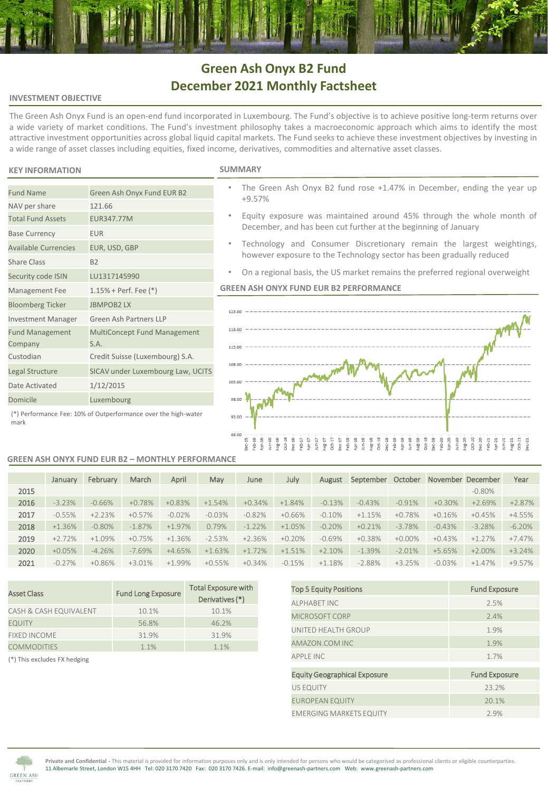# **Green Ash Onyx B2 Fund December 2021 Monthly Factsheet**

### **INVESTMENT OBJECTIVE**

The Green Ash Onyx Fund is an open-end fund incorporated in Luxembourg. The Fund's objective is to achieve positive long-term returns over a wide variety of market conditions. The Fund's investment philosophy takes a macroeconomic approach which aims to identify the most attractive investment opportunities across global liquid capital markets. The Fund seeks to achieve these investment objectives by investing in a wide range of asset classes including equities, fixed income, derivatives, commodities and alternative asset classes.

### **KEY INFORMATION S**

NAV per share 121.66 Total Fund Assets EUR347.77M Base Currency **EUR** 

Share Class B2

Fund Management Company

Available Currencies EUR, USD, GBP

Security code ISIN LU1317145990 Management Fee 1.15% + Perf. Fee (\*) Bloomberg Ticker JBMPOB2 LX

Date Activated 1/12/2015 Domicile Luxembourg

Investment Manager Green Ash Partners LLP

S.A. Custodian Credit Suisse (Luxembourg) S.A. Legal Structure SICAV under Luxembourg Law, UCITS

Fund Name Green Ash Onyx Fund EUR B2

|  |  |  | <b>UMMARY</b> |  |
|--|--|--|---------------|--|
|  |  |  |               |  |

- The Green Ash Onyx B2 fund rose +1.47% in December, ending the year up +9.57%
- Equity exposure was maintained around 45% through the whole month of December, and has been cut further at the beginning of January
- Technology and Consumer Discretionary remain the largest weightings, however exposure to the Technology sector has been gradually reduced
- On a regional basis, the US market remains the preferred regional overweight

## **GREEN ASH ONYX FUND EUR B2 PERFORMANCE**



### (\*) Performance Fee: 10% of Outperformance over the high-water mark

### **GREEN ASH ONYX FUND EUR B2 – MONTHLY PERFORMANCE**

MultiConcept Fund Management

|      | January  | February | March     | April    | May      | June     | July     | August    | September | October   | November December |           | Year     |
|------|----------|----------|-----------|----------|----------|----------|----------|-----------|-----------|-----------|-------------------|-----------|----------|
| 2015 |          |          |           |          |          |          |          |           |           |           |                   | $-0.80\%$ |          |
| 2016 | $-3.23%$ | $-0.66%$ | $+0.78%$  | $+0.83%$ | $+1.54%$ | $+0.34%$ | $+1.84%$ | $-0.13%$  | $-0.43%$  | $-0.91%$  | $+0.30%$          | $+2.69%$  | $+2.87%$ |
| 2017 | $-0.55%$ | $+2.23%$ | $+0.57%$  | $-0.02%$ | $-0.03%$ | $-0.82%$ | $+0.66%$ | $-0.10\%$ | $+1.15%$  | $+0.78%$  | $+0.16%$          | $+0.45%$  | $+4.55%$ |
| 2018 | $+1.36%$ | $-0.80%$ | $-1.87\%$ | $+1.97%$ | 0.79%    | $-1.22%$ | $+1.05%$ | $-0.20%$  | $+0.21%$  | $-3.78%$  | $-0.43%$          | $-3.28%$  | $-6.20%$ |
| 2019 | $+2.72%$ | $+1.09%$ | $+0.75%$  | $+1.36%$ | $-2.53%$ | $+2.36%$ | $+0.20%$ | $-0.69%$  | $+0.38%$  | $+0.00\%$ | $+0.43%$          | $+1.27%$  | $+7.47%$ |
| 2020 | $+0.05%$ | $-4.26%$ | $-7.69%$  | $+4.65%$ | $+1.63%$ | $+1.72%$ | $+1.51%$ | $+2.10%$  | $-1.39%$  | $-2.01%$  | $+5.65%$          | $+2.00\%$ | $+3.24%$ |
| 2021 | $-0.27%$ | $+0.86%$ | $+3.01%$  | $+1.99%$ | $+0.55%$ | $+0.34%$ | $-0.15%$ | $+1.18%$  | $-2.88%$  | $+3.25%$  | $-0.03%$          | $+1.47%$  | +9.57%   |

| <b>Asset Class</b>                     | <b>Fund Long Exposure</b> | <b>Total Exposure with</b><br>Derivatives (*) |
|----------------------------------------|---------------------------|-----------------------------------------------|
| CASH & CASH EQUIVALENT                 | 10.1%                     | 10.1%                                         |
| <b>EQUITY</b>                          | 56.8%                     | 46.2%                                         |
| <b>FIXED INCOME</b>                    | 31.9%                     | 31.9%                                         |
| <b>COMMODITIES</b>                     | 1.1%                      | 1.1%                                          |
| TAN This second control to the defense |                           |                                               |

(\*) This excludes FX hedging

| <b>Top 5 Equity Positions</b>       | <b>Fund Exposure</b> |
|-------------------------------------|----------------------|
| <b>ALPHABET INC</b>                 | 2.5%                 |
| <b>MICROSOFT CORP</b>               | 7.4%                 |
| UNITED HEALTH GROUP                 | 1.9%                 |
| AMAZON.COM INC                      | 1.9%                 |
| <b>APPIFINC</b>                     | 1.7%                 |
| <b>Equity Geographical Exposure</b> | <b>Fund Exposure</b> |
| <b>US EQUITY</b>                    | 23.2%                |
| <b>EUROPEAN EQUITY</b>              | 20.1%                |
| <b>EMERGING MARKETS EQUITY</b>      | 2.9%                 |



**Private and Confidential -** This material is provided for information purposes only and is only intended for persons who would be categorised as professional clients or eligible counterparties. 11 Albemarle Street, London W1S 4HH Tel: 020 3170 7420 Fax: 020 3170 7426. E-mail: info@greenash-partners.com Web: www.greenash-partners.com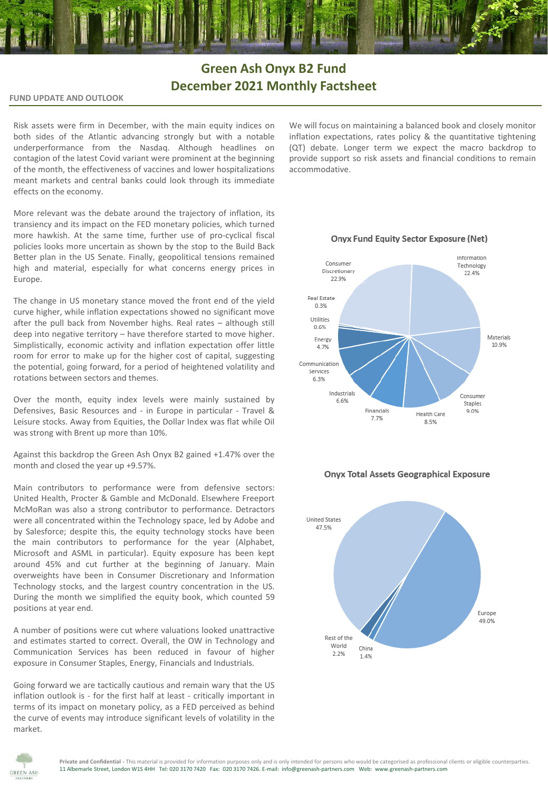## **Green Ash Onyx B2 Fund December 2021 Monthly Factsheet**

**FUND UPDATE AND OUTLOOK**

Risk assets were firm in December, with the main equity indices on both sides of the Atlantic advancing strongly but with a notable underperformance from the Nasdaq. Although headlines on contagion of the latest Covid variant were prominent at the beginning of the month, the effectiveness of vaccines and lower hospitalizations meant markets and central banks could look through its immediate effects on the economy.

More relevant was the debate around the trajectory of inflation, its transiency and its impact on the FED monetary policies, which turned more hawkish. At the same time, further use of pro-cyclical fiscal policies looks more uncertain as shown by the stop to the Build Back Better plan in the US Senate. Finally, geopolitical tensions remained high and material, especially for what concerns energy prices in Europe.

The change in US monetary stance moved the front end of the yield curve higher, while inflation expectations showed no significant move after the pull back from November highs. Real rates – although still deep into negative territory – have therefore started to move higher. Simplistically, economic activity and inflation expectation offer little room for error to make up for the higher cost of capital, suggesting the potential, going forward, for a period of heightened volatility and rotations between sectors and themes.

Over the month, equity index levels were mainly sustained by Defensives, Basic Resources and - in Europe in particular - Travel & Leisure stocks. Away from Equities, the Dollar Index was flat while Oil was strong with Brent up more than 10%.

Against this backdrop the Green Ash Onyx B2 gained +1.47% over the month and closed the year up +9.57%.

Main contributors to performance were from defensive sectors: United Health, Procter & Gamble and McDonald. Elsewhere Freeport McMoRan was also a strong contributor to performance. Detractors were all concentrated within the Technology space, led by Adobe and by Salesforce; despite this, the equity technology stocks have been the main contributors to performance for the year (Alphabet, Microsoft and ASML in particular). Equity exposure has been kept around 45% and cut further at the beginning of January. Main overweights have been in Consumer Discretionary and Information Technology stocks, and the largest country concentration in the US. During the month we simplified the equity book, which counted 59 positions at year end.

A number of positions were cut where valuations looked unattractive and estimates started to correct. Overall, the OW in Technology and Communication Services has been reduced in favour of higher exposure in Consumer Staples, Energy, Financials and Industrials.

Going forward we are tactically cautious and remain wary that the US inflation outlook is - for the first half at least - critically important in terms of its impact on monetary policy, as a FED perceived as behind the curve of events may introduce significant levels of volatility in the market.

We will focus on maintaining a balanced book and closely monitor inflation expectations, rates policy & the quantitative tightening (QT) debate. Longer term we expect the macro backdrop to provide support so risk assets and financial conditions to remain accommodative.

**Onyx Fund Equity Sector Exposure (Net)** 





### **Onyx Total Assets Geographical Exposure**